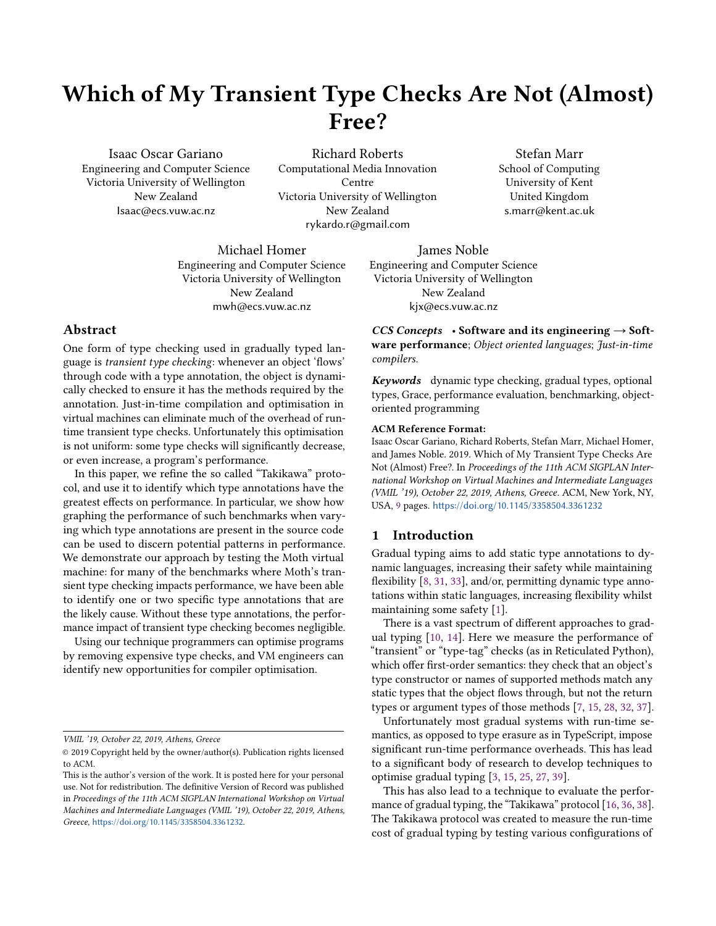# Which of My Transient Type Checks Are Not (Almost) Free?

Isaac Oscar Gariano Engineering and Computer Science Victoria University of Wellington New Zealand Isaac@ecs.vuw.ac.nz

Richard Roberts Computational Media Innovation Centre Victoria University of Wellington New Zealand rykardo.r@gmail.com

Stefan Marr School of Computing University of Kent United Kingdom s.marr@kent.ac.uk

Michael Homer Engineering and Computer Science Victoria University of Wellington New Zealand mwh@ecs.vuw.ac.nz

#### Abstract

One form of type checking used in gradually typed language is transient type checking: whenever an object 'flows' through code with a type annotation, the object is dynamically checked to ensure it has the methods required by the annotation. Just-in-time compilation and optimisation in virtual machines can eliminate much of the overhead of runtime transient type checks. Unfortunately this optimisation is not uniform: some type checks will significantly decrease, or even increase, a program's performance.

In this paper, we refine the so called "Takikawa" protocol, and use it to identify which type annotations have the greatest effects on performance. In particular, we show how graphing the performance of such benchmarks when varying which type annotations are present in the source code can be used to discern potential patterns in performance. We demonstrate our approach by testing the Moth virtual machine: for many of the benchmarks where Moth's transient type checking impacts performance, we have been able to identify one or two specific type annotations that are the likely cause. Without these type annotations, the performance impact of transient type checking becomes negligible.

Using our technique programmers can optimise programs by removing expensive type checks, and VM engineers can identify new opportunities for compiler optimisation.

VMIL '19, October 22, 2019, Athens, Greece

James Noble Engineering and Computer Science Victoria University of Wellington New Zealand kjx@ecs.vuw.ac.nz

CCS Concepts • Software and its engineering  $\rightarrow$  Software performance; Object oriented languages; Just-in-time compilers.

Keywords dynamic type checking, gradual types, optional types, Grace, performance evaluation, benchmarking, objectoriented programming

#### ACM Reference Format:

Isaac Oscar Gariano, Richard Roberts, Stefan Marr, Michael Homer, and James Noble. 2019. Which of My Transient Type Checks Are Not (Almost) Free?. In Proceedings of the 11th ACM SIGPLAN International Workshop on Virtual Machines and Intermediate Languages (VMIL '19), October 22, 2019, Athens, Greece. ACM, New York, NY, USA, [9](#page-8-0) pages. <https://doi.org/10.1145/3358504.3361232>

## 1 Introduction

Gradual typing aims to add static type annotations to dynamic languages, increasing their safety while maintaining flexibility [\[8,](#page-7-0) [31,](#page-8-1) [33\]](#page-8-2), and/or, permitting dynamic type annotations within static languages, increasing flexibility whilst maintaining some safety [\[1\]](#page-7-1).

There is a vast spectrum of different approaches to gradual typing [\[10,](#page-7-2) [14\]](#page-7-3). Here we measure the performance of "transient" or "type-tag" checks (as in Reticulated Python), which offer first-order semantics: they check that an object's type constructor or names of supported methods match any static types that the object flows through, but not the return types or argument types of those methods [\[7,](#page-7-4) [15,](#page-7-5) [28,](#page-7-6) [32,](#page-8-3) [37\]](#page-8-4).

Unfortunately most gradual systems with run-time semantics, as opposed to type erasure as in TypeScript, impose significant run-time performance overheads. This has lead to a significant body of research to develop techniques to optimise gradual typing [\[3,](#page-7-7) [15,](#page-7-5) [25,](#page-7-8) [27,](#page-7-9) [39\]](#page-8-5).

This has also lead to a technique to evaluate the performance of gradual typing, the "Takikawa" protocol [\[16,](#page-7-10) [36,](#page-8-6) [38\]](#page-8-7). The Takikawa protocol was created to measure the run-time cost of gradual typing by testing various configurations of

<sup>©</sup> 2019 Copyright held by the owner/author(s). Publication rights licensed to ACM.

This is the author's version of the work. It is posted here for your personal use. Not for redistribution. The definitive Version of Record was published in Proceedings of the 11th ACM SIGPLAN International Workshop on Virtual Machines and Intermediate Languages (VMIL '19), October 22, 2019, Athens, Greece, <https://doi.org/10.1145/3358504.3361232>.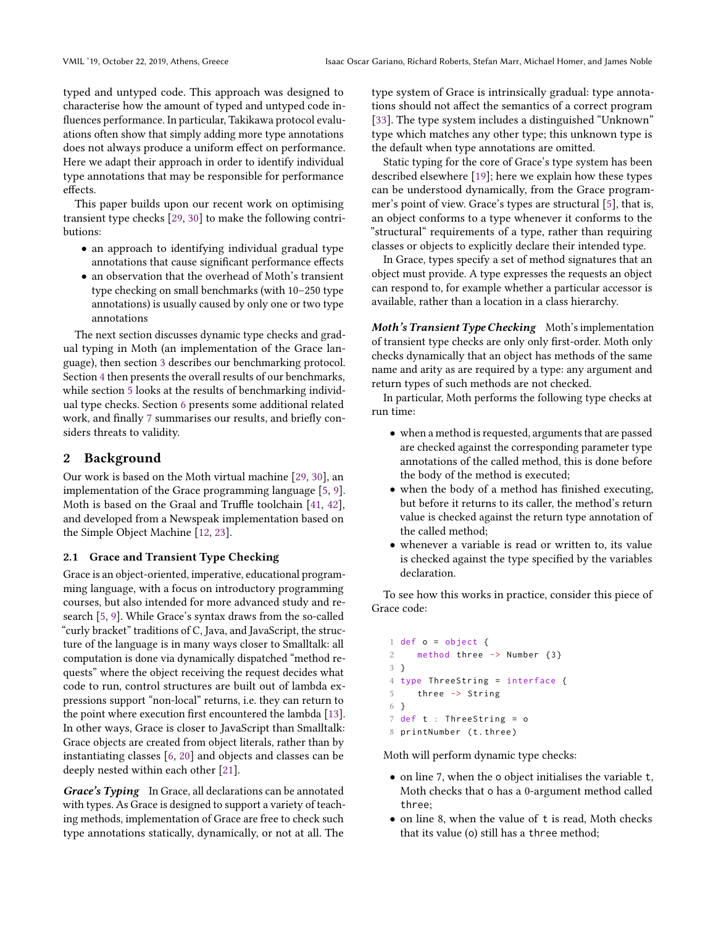typed and untyped code. This approach was designed to characterise how the amount of typed and untyped code influences performance. In particular, Takikawa protocol evaluations often show that simply adding more type annotations does not always produce a uniform effect on performance. Here we adapt their approach in order to identify individual type annotations that may be responsible for performance effects.

This paper builds upon our recent work on optimising transient type checks [\[29,](#page-7-11) [30\]](#page-8-8) to make the following contributions:

- an approach to identifying individual gradual type annotations that cause significant performance effects
- an observation that the overhead of Moth's transient type checking on small benchmarks (with 10–250 type annotations) is usually caused by only one or two type annotations

The next section discusses dynamic type checks and gradual typing in Moth (an implementation of the Grace language), then section [3](#page-2-0) describes our benchmarking protocol. Section [4](#page-3-0) then presents the overall results of our benchmarks, while section [5](#page-3-1) looks at the results of benchmarking individual type checks. Section [6](#page-6-0) presents some additional related work, and finally [7](#page-6-1) summarises our results, and briefly considers threats to validity.

## 2 Background

Our work is based on the Moth virtual machine [\[29,](#page-7-11) [30\]](#page-8-8), an implementation of the Grace programming language [\[5,](#page-7-12) [9\]](#page-7-13). Moth is based on the Graal and Truffle toolchain [\[41,](#page-8-9) [42\]](#page-8-10), and developed from a Newspeak implementation based on the Simple Object Machine [\[12,](#page-7-14) [23\]](#page-7-15).

#### 2.1 Grace and Transient Type Checking

Grace is an object-oriented, imperative, educational programming language, with a focus on introductory programming courses, but also intended for more advanced study and research [\[5,](#page-7-12) [9\]](#page-7-13). While Grace's syntax draws from the so-called "curly bracket" traditions of C, Java, and JavaScript, the structure of the language is in many ways closer to Smalltalk: all computation is done via dynamically dispatched "method requests" where the object receiving the request decides what code to run, control structures are built out of lambda expressions support "non-local" returns, i.e. they can return to the point where execution first encountered the lambda [\[13\]](#page-7-16). In other ways, Grace is closer to JavaScript than Smalltalk: Grace objects are created from object literals, rather than by instantiating classes [\[6,](#page-7-17) [20\]](#page-7-18) and objects and classes can be deeply nested within each other [\[21\]](#page-7-19).

Grace's Typing In Grace, all declarations can be annotated with types. As Grace is designed to support a variety of teaching methods, implementation of Grace are free to check such type annotations statically, dynamically, or not at all. The

type system of Grace is intrinsically gradual: type annotations should not affect the semantics of a correct program [\[33\]](#page-8-2). The type system includes a distinguished "Unknown" type which matches any other type; this unknown type is the default when type annotations are omitted.

Static typing for the core of Grace's type system has been described elsewhere [\[19\]](#page-7-20); here we explain how these types can be understood dynamically, from the Grace programmer's point of view. Grace's types are structural [\[5\]](#page-7-12), that is, an object conforms to a type whenever it conforms to the "structural" requirements of a type, rather than requiring classes or objects to explicitly declare their intended type.

In Grace, types specify a set of method signatures that an object must provide. A type expresses the requests an object can respond to, for example whether a particular accessor is available, rather than a location in a class hierarchy.

Moth's Transient Type Checking Moth's implementation of transient type checks are only only first-order. Moth only checks dynamically that an object has methods of the same name and arity as are required by a type: any argument and return types of such methods are not checked.

In particular, Moth performs the following type checks at run time:

- when a method is requested, arguments that are passed are checked against the corresponding parameter type annotations of the called method, this is done before the body of the method is executed;
- when the body of a method has finished executing, but before it returns to its caller, the method's return value is checked against the return type annotation of the called method;
- whenever a variable is read or written to, its value is checked against the type specified by the variables declaration.

To see how this works in practice, consider this piece of Grace code:

```
1 def o = object {
    method three - Number \{3\}3 }
4 type ThreeString = interface {
5 three -> String
6 }
7 def t : ThreeString = o
8 printNumber (t.three)
```
Moth will perform dynamic type checks:

- on line 7, when the o object initialises the variable t, Moth checks that o has a 0-argument method called three;
- on line 8, when the value of t is read, Moth checks that its value (o) still has a three method;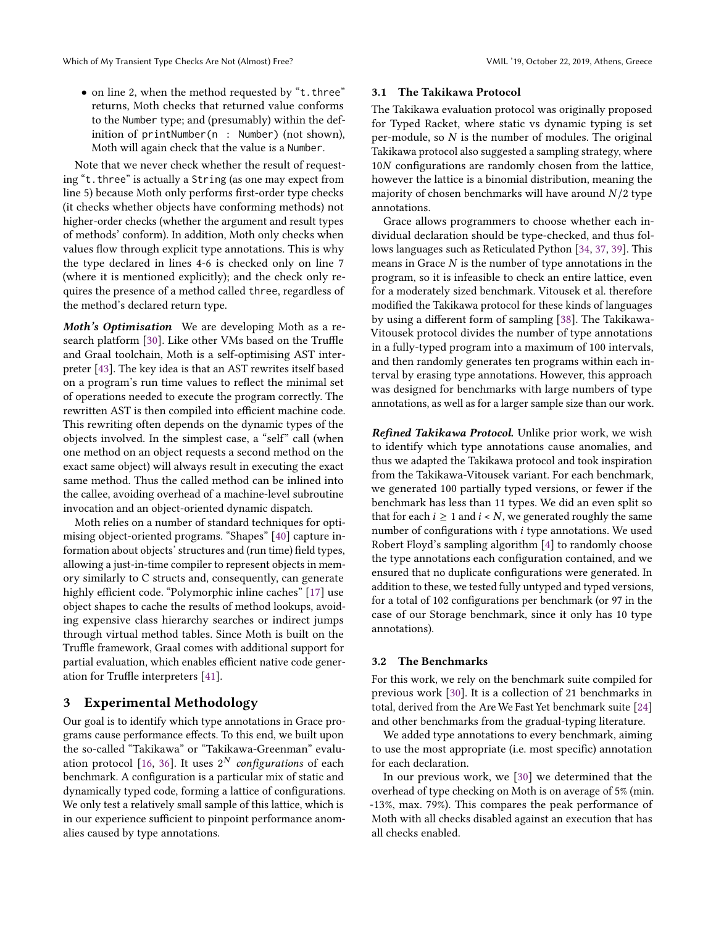• on line 2, when the method requested by "t.three" returns, Moth checks that returned value conforms to the Number type; and (presumably) within the definition of printNumber(n : Number) (not shown), Moth will again check that the value is a Number.

Note that we never check whether the result of requesting "t.three" is actually a String (as one may expect from line 5) because Moth only performs first-order type checks (it checks whether objects have conforming methods) not higher-order checks (whether the argument and result types of methods' conform). In addition, Moth only checks when values flow through explicit type annotations. This is why the type declared in lines 4-6 is checked only on line 7 (where it is mentioned explicitly); and the check only requires the presence of a method called three, regardless of the method's declared return type.

Moth's Optimisation We are developing Moth as a research platform [\[30\]](#page-8-8). Like other VMs based on the Truffle and Graal toolchain, Moth is a self-optimising AST interpreter [\[43\]](#page-8-11). The key idea is that an AST rewrites itself based on a program's run time values to reflect the minimal set of operations needed to execute the program correctly. The rewritten AST is then compiled into efficient machine code. This rewriting often depends on the dynamic types of the objects involved. In the simplest case, a "self" call (when one method on an object requests a second method on the exact same object) will always result in executing the exact same method. Thus the called method can be inlined into the callee, avoiding overhead of a machine-level subroutine invocation and an object-oriented dynamic dispatch.

Moth relies on a number of standard techniques for optimising object-oriented programs. "Shapes" [\[40\]](#page-8-12) capture information about objects' structures and (run time) field types, allowing a just-in-time compiler to represent objects in memory similarly to C structs and, consequently, can generate highly efficient code. "Polymorphic inline caches" [\[17\]](#page-7-21) use object shapes to cache the results of method lookups, avoiding expensive class hierarchy searches or indirect jumps through virtual method tables. Since Moth is built on the Truffle framework, Graal comes with additional support for partial evaluation, which enables efficient native code generation for Truffle interpreters [\[41\]](#page-8-9).

# <span id="page-2-0"></span>3 Experimental Methodology

Our goal is to identify which type annotations in Grace programs cause performance effects. To this end, we built upon the so-called "Takikawa" or "Takikawa-Greenman" evalu-ation protocol [\[16,](#page-7-10) [36\]](#page-8-6). It uses  $2^N$  *configurations* of each benchmark. A configuration is a particular mix of static and dynamically typed code, forming a lattice of configurations. We only test a relatively small sample of this lattice, which is in our experience sufficient to pinpoint performance anomalies caused by type annotations.

#### 3.1 The Takikawa Protocol

The Takikawa evaluation protocol was originally proposed for Typed Racket, where static vs dynamic typing is set per-module, so  $N$  is the number of modules. The original Takikawa protocol also suggested a sampling strategy, where 10N configurations are randomly chosen from the lattice, however the lattice is a binomial distribution, meaning the majority of chosen benchmarks will have around  $N/2$  type annotations.

Grace allows programmers to choose whether each individual declaration should be type-checked, and thus follows languages such as Reticulated Python [\[34,](#page-8-13) [37,](#page-8-4) [39\]](#page-8-5). This means in Grace  $N$  is the number of type annotations in the program, so it is infeasible to check an entire lattice, even for a moderately sized benchmark. Vitousek et al. therefore modified the Takikawa protocol for these kinds of languages by using a different form of sampling [\[38\]](#page-8-7). The Takikawa-Vitousek protocol divides the number of type annotations in a fully-typed program into a maximum of 100 intervals, and then randomly generates ten programs within each interval by erasing type annotations. However, this approach was designed for benchmarks with large numbers of type annotations, as well as for a larger sample size than our work.

Refined Takikawa Protocol. Unlike prior work, we wish to identify which type annotations cause anomalies, and thus we adapted the Takikawa protocol and took inspiration from the Takikawa-Vitousek variant. For each benchmark, we generated 100 partially typed versions, or fewer if the benchmark has less than 11 types. We did an even split so that for each  $i \geq 1$  and  $i \leq N$ , we generated roughly the same number of configurations with i type annotations. We used Robert Floyd's sampling algorithm [\[4\]](#page-7-22) to randomly choose the type annotations each configuration contained, and we ensured that no duplicate configurations were generated. In addition to these, we tested fully untyped and typed versions, for a total of 102 configurations per benchmark (or 97 in the case of our Storage benchmark, since it only has 10 type annotations).

#### 3.2 The Benchmarks

For this work, we rely on the benchmark suite compiled for previous work [\[30\]](#page-8-8). It is a collection of 21 benchmarks in total, derived from the Are We Fast Yet benchmark suite [\[24\]](#page-7-23) and other benchmarks from the gradual-typing literature.

We added type annotations to every benchmark, aiming to use the most appropriate (i.e. most specific) annotation for each declaration.

In our previous work, we [\[30\]](#page-8-8) we determined that the overhead of type checking on Moth is on average of 5% (min. -13%, max. 79%). This compares the peak performance of Moth with all checks disabled against an execution that has all checks enabled.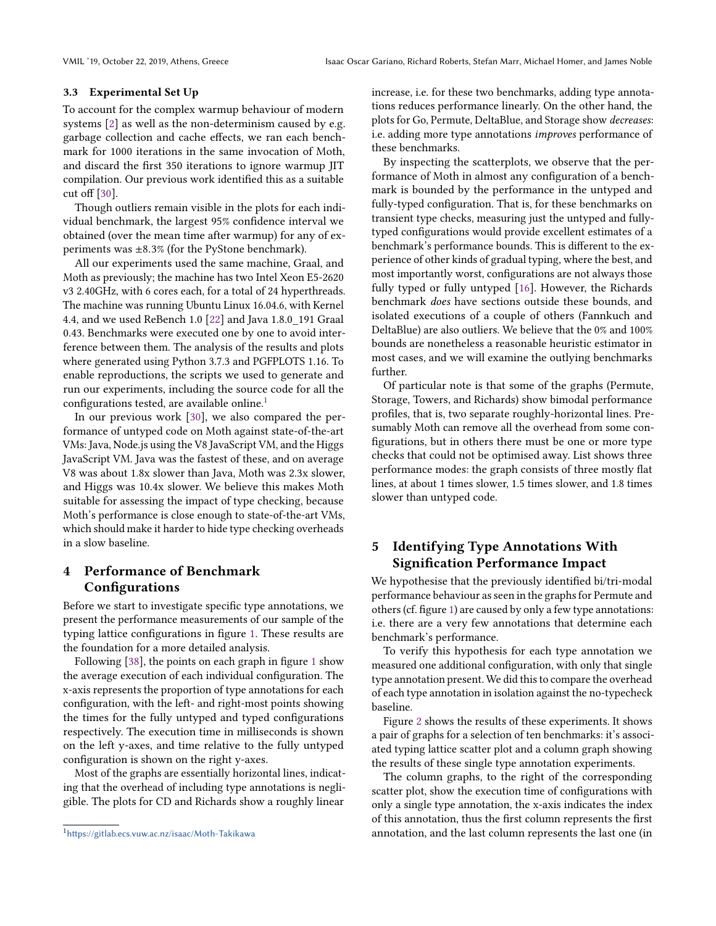#### 3.3 Experimental Set Up

To account for the complex warmup behaviour of modern systems [\[2\]](#page-7-24) as well as the non-determinism caused by e.g. garbage collection and cache effects, we ran each benchmark for 1000 iterations in the same invocation of Moth, and discard the first 350 iterations to ignore warmup JIT compilation. Our previous work identified this as a suitable cut off [\[30\]](#page-8-8).

Though outliers remain visible in the plots for each individual benchmark, the largest 95% confidence interval we obtained (over the mean time after warmup) for any of experiments was  $\pm 8.3\%$  (for the PyStone benchmark).

All our experiments used the same machine, Graal, and Moth as previously; the machine has two Intel Xeon E5-2620 v3 2.40GHz, with 6 cores each, for a total of 24 hyperthreads. The machine was running Ubuntu Linux 16.04.6, with Kernel 4.4, and we used ReBench 1.0 [\[22\]](#page-7-25) and Java 1.8.0\_191 Graal 0.43. Benchmarks were executed one by one to avoid interference between them. The analysis of the results and plots where generated using Python 3.7.3 and PGFPLOTS 1.16. To enable reproductions, the scripts we used to generate and run our experiments, including the source code for all the configurations tested, are available online.<sup>[1](#page-3-2)</sup>

In our previous work [\[30\]](#page-8-8), we also compared the performance of untyped code on Moth against state-of-the-art VMs: Java, Node.js using the V8 JavaScript VM, and the Higgs JavaScript VM. Java was the fastest of these, and on average V8 was about 1.8x slower than Java, Moth was 2.3x slower, and Higgs was 10.4x slower. We believe this makes Moth suitable for assessing the impact of type checking, because Moth's performance is close enough to state-of-the-art VMs, which should make it harder to hide type checking overheads in a slow baseline.

# <span id="page-3-0"></span>4 Performance of Benchmark **Configurations**

Before we start to investigate specific type annotations, we present the performance measurements of our sample of the typing lattice configurations in figure [1.](#page-4-0) These results are the foundation for a more detailed analysis.

Following [\[38\]](#page-8-7), the points on each graph in figure [1](#page-4-0) show the average execution of each individual configuration. The x-axis represents the proportion of type annotations for each configuration, with the left- and right-most points showing the times for the fully untyped and typed configurations respectively. The execution time in milliseconds is shown on the left y-axes, and time relative to the fully untyped configuration is shown on the right y-axes.

Most of the graphs are essentially horizontal lines, indicating that the overhead of including type annotations is negligible. The plots for CD and Richards show a roughly linear

increase, i.e. for these two benchmarks, adding type annotations reduces performance linearly. On the other hand, the plots for Go, Permute, DeltaBlue, and Storage show decreases: i.e. adding more type annotations improves performance of these benchmarks.

By inspecting the scatterplots, we observe that the performance of Moth in almost any configuration of a benchmark is bounded by the performance in the untyped and fully-typed configuration. That is, for these benchmarks on transient type checks, measuring just the untyped and fullytyped configurations would provide excellent estimates of a benchmark's performance bounds. This is different to the experience of other kinds of gradual typing, where the best, and most importantly worst, configurations are not always those fully typed or fully untyped [\[16\]](#page-7-10). However, the Richards benchmark does have sections outside these bounds, and isolated executions of a couple of others (Fannkuch and DeltaBlue) are also outliers. We believe that the 0% and 100% bounds are nonetheless a reasonable heuristic estimator in most cases, and we will examine the outlying benchmarks further.

Of particular note is that some of the graphs (Permute, Storage, Towers, and Richards) show bimodal performance profiles, that is, two separate roughly-horizontal lines. Presumably Moth can remove all the overhead from some configurations, but in others there must be one or more type checks that could not be optimised away. List shows three performance modes: the graph consists of three mostly flat lines, at about 1 times slower, 1.5 times slower, and 1.8 times slower than untyped code.

# <span id="page-3-1"></span>5 Identifying Type Annotations With Signification Performance Impact

We hypothesise that the previously identified bi/tri-modal performance behaviour as seen in the graphs for Permute and others (cf. figure [1\)](#page-4-0) are caused by only a few type annotations: i.e. there are a very few annotations that determine each benchmark's performance.

To verify this hypothesis for each type annotation we measured one additional configuration, with only that single type annotation present. We did this to compare the overhead of each type annotation in isolation against the no-typecheck baseline.

Figure [2](#page-5-0) shows the results of these experiments. It shows a pair of graphs for a selection of ten benchmarks: it's associated typing lattice scatter plot and a column graph showing the results of these single type annotation experiments.

The column graphs, to the right of the corresponding scatter plot, show the execution time of configurations with only a single type annotation, the x-axis indicates the index of this annotation, thus the first column represents the first annotation, and the last column represents the last one (in

<span id="page-3-2"></span><sup>1</sup><https://gitlab.ecs.vuw.ac.nz/isaac/Moth-Takikawa>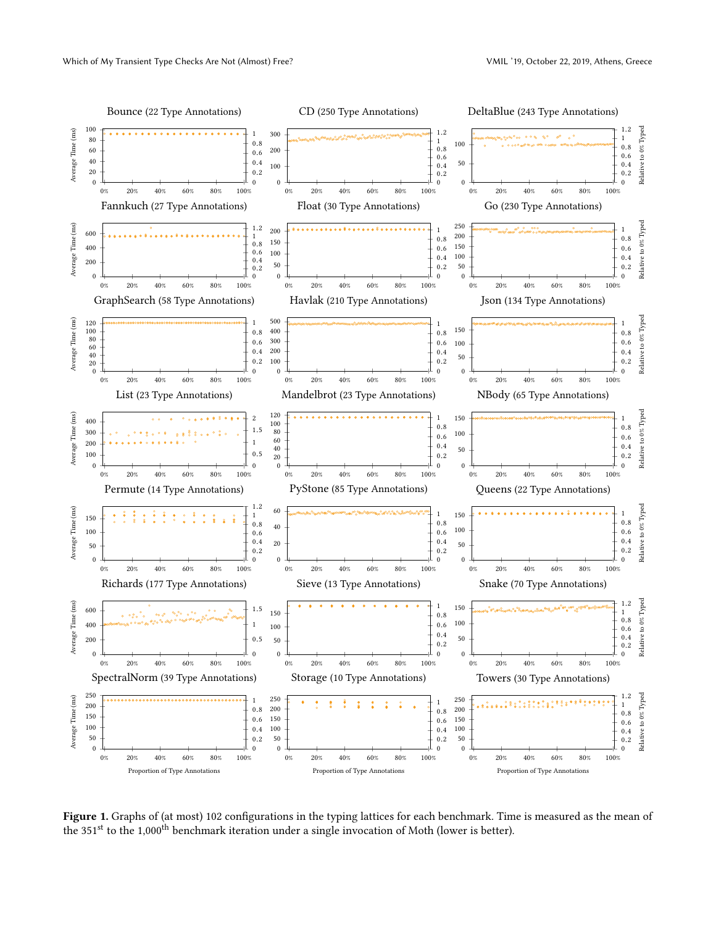<span id="page-4-0"></span>

Figure 1. Graphs of (at most) 102 configurations in the typing lattices for each benchmark. Time is measured as the mean of the 351<sup>st</sup> to the 1,000<sup>th</sup> benchmark iteration under a single invocation of Moth (lower is better).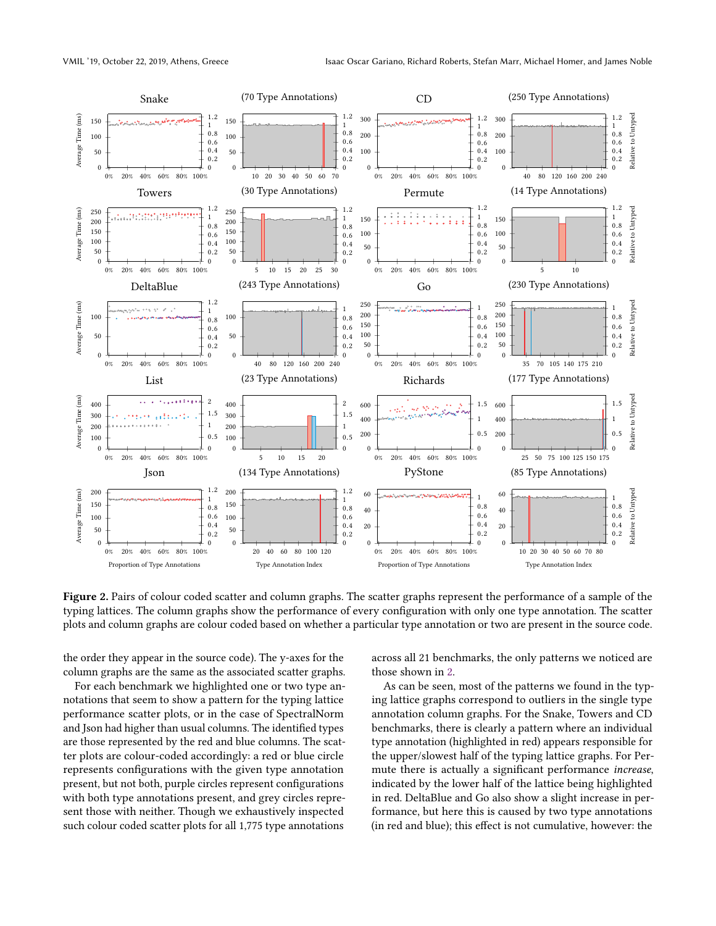<span id="page-5-0"></span>

Figure 2. Pairs of colour coded scatter and column graphs. The scatter graphs represent the performance of a sample of the typing lattices. The column graphs show the performance of every configuration with only one type annotation. The scatter plots and column graphs are colour coded based on whether a particular type annotation or two are present in the source code.

the order they appear in the source code). The y-axes for the column graphs are the same as the associated scatter graphs.

For each benchmark we highlighted one or two type annotations that seem to show a pattern for the typing lattice performance scatter plots, or in the case of SpectralNorm and Json had higher than usual columns. The identified types are those represented by the red and blue columns. The scatter plots are colour-coded accordingly: a red or blue circle represents configurations with the given type annotation present, but not both, purple circles represent configurations with both type annotations present, and grey circles represent those with neither. Though we exhaustively inspected such colour coded scatter plots for all 1,775 type annotations

across all 21 benchmarks, the only patterns we noticed are those shown in [2.](#page-5-0)

As can be seen, most of the patterns we found in the typing lattice graphs correspond to outliers in the single type annotation column graphs. For the Snake, Towers and CD benchmarks, there is clearly a pattern where an individual type annotation (highlighted in red) appears responsible for the upper/slowest half of the typing lattice graphs. For Permute there is actually a significant performance increase, indicated by the lower half of the lattice being highlighted in red. DeltaBlue and Go also show a slight increase in performance, but here this is caused by two type annotations (in red and blue); this effect is not cumulative, however: the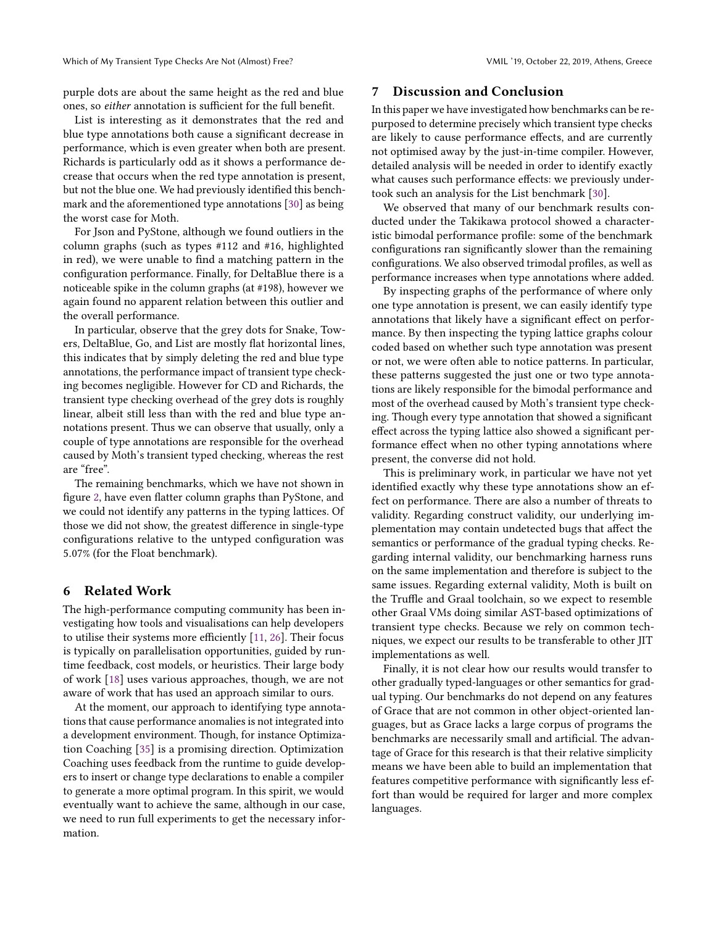purple dots are about the same height as the red and blue ones, so either annotation is sufficient for the full benefit.

List is interesting as it demonstrates that the red and blue type annotations both cause a significant decrease in performance, which is even greater when both are present. Richards is particularly odd as it shows a performance decrease that occurs when the red type annotation is present, but not the blue one. We had previously identified this benchmark and the aforementioned type annotations [\[30\]](#page-8-8) as being the worst case for Moth.

For Json and PyStone, although we found outliers in the column graphs (such as types #112 and #16, highlighted in red), we were unable to find a matching pattern in the configuration performance. Finally, for DeltaBlue there is a noticeable spike in the column graphs (at #198), however we again found no apparent relation between this outlier and the overall performance.

In particular, observe that the grey dots for Snake, Towers, DeltaBlue, Go, and List are mostly flat horizontal lines, this indicates that by simply deleting the red and blue type annotations, the performance impact of transient type checking becomes negligible. However for CD and Richards, the transient type checking overhead of the grey dots is roughly linear, albeit still less than with the red and blue type annotations present. Thus we can observe that usually, only a couple of type annotations are responsible for the overhead caused by Moth's transient typed checking, whereas the rest are "free".

The remaining benchmarks, which we have not shown in figure [2,](#page-5-0) have even flatter column graphs than PyStone, and we could not identify any patterns in the typing lattices. Of those we did not show, the greatest difference in single-type configurations relative to the untyped configuration was <sup>5</sup>.07% (for the Float benchmark).

# <span id="page-6-0"></span>6 Related Work

The high-performance computing community has been investigating how tools and visualisations can help developers to utilise their systems more efficiently [\[11,](#page-7-26) [26\]](#page-7-27). Their focus is typically on parallelisation opportunities, guided by runtime feedback, cost models, or heuristics. Their large body of work [\[18\]](#page-7-28) uses various approaches, though, we are not aware of work that has used an approach similar to ours.

At the moment, our approach to identifying type annotations that cause performance anomalies is not integrated into a development environment. Though, for instance Optimization Coaching [\[35\]](#page-8-14) is a promising direction. Optimization Coaching uses feedback from the runtime to guide developers to insert or change type declarations to enable a compiler to generate a more optimal program. In this spirit, we would eventually want to achieve the same, although in our case, we need to run full experiments to get the necessary information.

# <span id="page-6-1"></span>7 Discussion and Conclusion

In this paper we have investigated how benchmarks can be repurposed to determine precisely which transient type checks are likely to cause performance effects, and are currently not optimised away by the just-in-time compiler. However, detailed analysis will be needed in order to identify exactly what causes such performance effects: we previously undertook such an analysis for the List benchmark [\[30\]](#page-8-8).

We observed that many of our benchmark results conducted under the Takikawa protocol showed a characteristic bimodal performance profile: some of the benchmark configurations ran significantly slower than the remaining configurations. We also observed trimodal profiles, as well as performance increases when type annotations where added.

By inspecting graphs of the performance of where only one type annotation is present, we can easily identify type annotations that likely have a significant effect on performance. By then inspecting the typing lattice graphs colour coded based on whether such type annotation was present or not, we were often able to notice patterns. In particular, these patterns suggested the just one or two type annotations are likely responsible for the bimodal performance and most of the overhead caused by Moth's transient type checking. Though every type annotation that showed a significant effect across the typing lattice also showed a significant performance effect when no other typing annotations where present, the converse did not hold.

This is preliminary work, in particular we have not yet identified exactly why these type annotations show an effect on performance. There are also a number of threats to validity. Regarding construct validity, our underlying implementation may contain undetected bugs that affect the semantics or performance of the gradual typing checks. Regarding internal validity, our benchmarking harness runs on the same implementation and therefore is subject to the same issues. Regarding external validity, Moth is built on the Truffle and Graal toolchain, so we expect to resemble other Graal VMs doing similar AST-based optimizations of transient type checks. Because we rely on common techniques, we expect our results to be transferable to other JIT implementations as well.

Finally, it is not clear how our results would transfer to other gradually typed-languages or other semantics for gradual typing. Our benchmarks do not depend on any features of Grace that are not common in other object-oriented languages, but as Grace lacks a large corpus of programs the benchmarks are necessarily small and artificial. The advantage of Grace for this research is that their relative simplicity means we have been able to build an implementation that features competitive performance with significantly less effort than would be required for larger and more complex languages.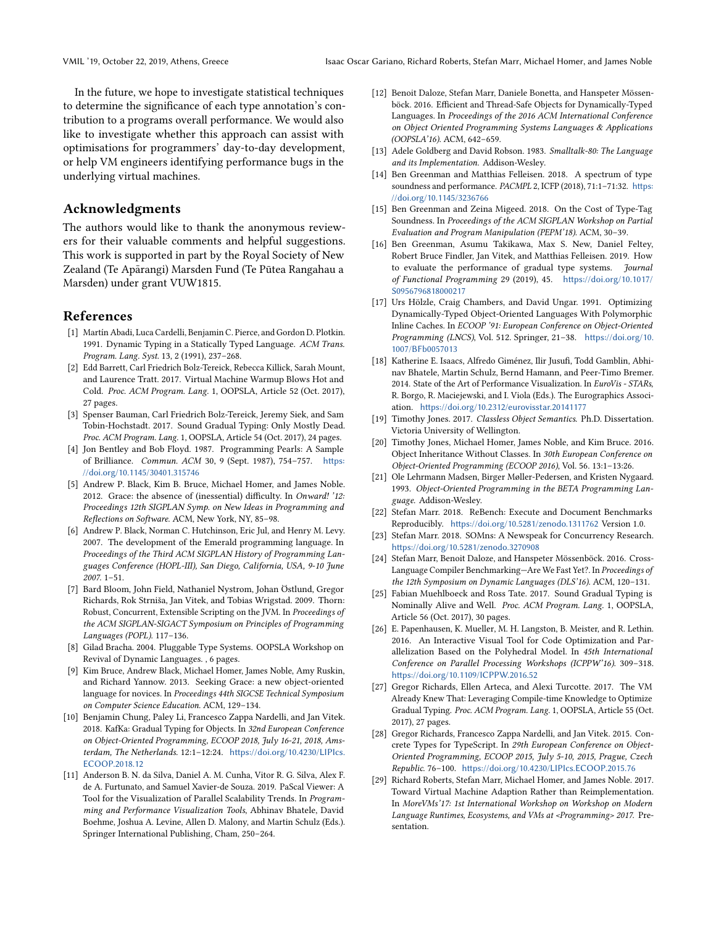In the future, we hope to investigate statistical techniques to determine the significance of each type annotation's contribution to a programs overall performance. We would also like to investigate whether this approach can assist with optimisations for programmers' day-to-day development, or help VM engineers identifying performance bugs in the underlying virtual machines.

# Acknowledgments

The authors would like to thank the anonymous reviewers for their valuable comments and helpful suggestions. This work is supported in part by the Royal Society of New Zealand (Te Apārangi) Marsden Fund (Te Pūtea Rangahau a Marsden) under grant VUW1815.

### References

- <span id="page-7-1"></span>[1] Martín Abadi, Luca Cardelli, Benjamin C. Pierce, and Gordon D. Plotkin. 1991. Dynamic Typing in a Statically Typed Language. ACM Trans. Program. Lang. Syst. 13, 2 (1991), 237–268.
- <span id="page-7-24"></span>[2] Edd Barrett, Carl Friedrich Bolz-Tereick, Rebecca Killick, Sarah Mount, and Laurence Tratt. 2017. Virtual Machine Warmup Blows Hot and Cold. Proc. ACM Program. Lang. 1, OOPSLA, Article 52 (Oct. 2017), 27 pages.
- <span id="page-7-7"></span>[3] Spenser Bauman, Carl Friedrich Bolz-Tereick, Jeremy Siek, and Sam Tobin-Hochstadt. 2017. Sound Gradual Typing: Only Mostly Dead. Proc. ACM Program. Lang. 1, OOPSLA, Article 54 (Oct. 2017), 24 pages.
- <span id="page-7-22"></span>[4] Jon Bentley and Bob Floyd. 1987. Programming Pearls: A Sample of Brilliance. Commun. ACM 30, 9 (Sept. 1987), 754–757. [https:](https://doi.org/10.1145/30401.315746) [//doi.org/10.1145/30401.315746](https://doi.org/10.1145/30401.315746)
- <span id="page-7-12"></span>[5] Andrew P. Black, Kim B. Bruce, Michael Homer, and James Noble. 2012. Grace: the absence of (inessential) difficulty. In Onward! '12: Proceedings 12th SIGPLAN Symp. on New Ideas in Programming and Reflections on Software. ACM, New York, NY, 85–98.
- <span id="page-7-17"></span>[6] Andrew P. Black, Norman C. Hutchinson, Eric Jul, and Henry M. Levy. 2007. The development of the Emerald programming language. In Proceedings of the Third ACM SIGPLAN History of Programming Languages Conference (HOPL-III), San Diego, California, USA, 9-10 June 2007. 1–51.
- <span id="page-7-4"></span>[7] Bard Bloom, John Field, Nathaniel Nystrom, Johan Östlund, Gregor Richards, Rok Strniša, Jan Vitek, and Tobias Wrigstad. 2009. Thorn: Robust, Concurrent, Extensible Scripting on the JVM. In Proceedings of the ACM SIGPLAN-SIGACT Symposium on Principles of Programming Languages (POPL). 117–136.
- <span id="page-7-0"></span>[8] Gilad Bracha. 2004. Pluggable Type Systems. OOPSLA Workshop on Revival of Dynamic Languages. , 6 pages.
- <span id="page-7-13"></span>[9] Kim Bruce, Andrew Black, Michael Homer, James Noble, Amy Ruskin, and Richard Yannow. 2013. Seeking Grace: a new object-oriented language for novices. In Proceedings 44th SIGCSE Technical Symposium on Computer Science Education. ACM, 129–134.
- <span id="page-7-2"></span>[10] Benjamin Chung, Paley Li, Francesco Zappa Nardelli, and Jan Vitek. 2018. KafKa: Gradual Typing for Objects. In 32nd European Conference on Object-Oriented Programming, ECOOP 2018, July 16-21, 2018, Amsterdam, The Netherlands. 12:1–12:24. [https://doi.org/10.4230/LIPIcs.](https://doi.org/10.4230/LIPIcs.ECOOP.2018.12) [ECOOP.2018.12](https://doi.org/10.4230/LIPIcs.ECOOP.2018.12)
- <span id="page-7-26"></span>[11] Anderson B. N. da Silva, Daniel A. M. Cunha, Vitor R. G. Silva, Alex F. de A. Furtunato, and Samuel Xavier-de Souza. 2019. PaScal Viewer: A Tool for the Visualization of Parallel Scalability Trends. In Programming and Performance Visualization Tools, Abhinav Bhatele, David Boehme, Joshua A. Levine, Allen D. Malony, and Martin Schulz (Eds.). Springer International Publishing, Cham, 250–264.
- <span id="page-7-14"></span>[12] Benoit Daloze, Stefan Marr, Daniele Bonetta, and Hanspeter Mössenböck. 2016. Efficient and Thread-Safe Objects for Dynamically-Typed Languages. In Proceedings of the 2016 ACM International Conference on Object Oriented Programming Systems Languages & Applications (OOPSLA'16). ACM, 642–659.
- <span id="page-7-16"></span>[13] Adele Goldberg and David Robson. 1983. Smalltalk-80: The Language and its Implementation. Addison-Wesley.
- <span id="page-7-3"></span>[14] Ben Greenman and Matthias Felleisen. 2018. A spectrum of type soundness and performance. PACMPL 2, ICFP (2018), 71:1-71:32. [https:](https://doi.org/10.1145/3236766) [//doi.org/10.1145/3236766](https://doi.org/10.1145/3236766)
- <span id="page-7-5"></span>[15] Ben Greenman and Zeina Migeed. 2018. On the Cost of Type-Tag Soundness. In Proceedings of the ACM SIGPLAN Workshop on Partial Evaluation and Program Manipulation (PEPM'18). ACM, 30–39.
- <span id="page-7-10"></span>[16] Ben Greenman, Asumu Takikawa, Max S. New, Daniel Feltey, Robert Bruce Findler, Jan Vitek, and Matthias Felleisen. 2019. How to evaluate the performance of gradual type systems. Journal of Functional Programming 29 (2019), 45. [https://doi.org/10.1017/](https://doi.org/10.1017/S0956796818000217) [S0956796818000217](https://doi.org/10.1017/S0956796818000217)
- <span id="page-7-21"></span>[17] Urs Hölzle, Craig Chambers, and David Ungar. 1991. Optimizing Dynamically-Typed Object-Oriented Languages With Polymorphic Inline Caches. In ECOOP '91: European Conference on Object-Oriented Programming (LNCS), Vol. 512. Springer, 21–38. [https://doi.org/10.](https://doi.org/10.1007/BFb0057013) [1007/BFb0057013](https://doi.org/10.1007/BFb0057013)
- <span id="page-7-28"></span>[18] Katherine E. Isaacs, Alfredo Giménez, Ilir Jusufi, Todd Gamblin, Abhinav Bhatele, Martin Schulz, Bernd Hamann, and Peer-Timo Bremer. 2014. State of the Art of Performance Visualization. In EuroVis - STARs, R. Borgo, R. Maciejewski, and I. Viola (Eds.). The Eurographics Association. <https://doi.org/10.2312/eurovisstar.20141177>
- <span id="page-7-20"></span>[19] Timothy Jones. 2017. Classless Object Semantics. Ph.D. Dissertation. Victoria University of Wellington.
- <span id="page-7-18"></span>[20] Timothy Jones, Michael Homer, James Noble, and Kim Bruce. 2016. Object Inheritance Without Classes. In 30th European Conference on Object-Oriented Programming (ECOOP 2016), Vol. 56. 13:1–13:26.
- <span id="page-7-19"></span>[21] Ole Lehrmann Madsen, Birger Møller-Pedersen, and Kristen Nygaard. 1993. Object-Oriented Programming in the BETA Programming Language. Addison-Wesley.
- <span id="page-7-25"></span>[22] Stefan Marr. 2018. ReBench: Execute and Document Benchmarks Reproducibly. <https://doi.org/10.5281/zenodo.1311762> Version 1.0.
- <span id="page-7-15"></span>[23] Stefan Marr. 2018. SOMns: A Newspeak for Concurrency Research. <https://doi.org/10.5281/zenodo.3270908>
- <span id="page-7-23"></span>[24] Stefan Marr, Benoit Daloze, and Hanspeter Mössenböck. 2016. Cross-Language Compiler Benchmarking—Are We Fast Yet?. In Proceedings of the 12th Symposium on Dynamic Languages (DLS'16). ACM, 120–131.
- <span id="page-7-8"></span>[25] Fabian Muehlboeck and Ross Tate. 2017. Sound Gradual Typing is Nominally Alive and Well. Proc. ACM Program. Lang. 1, OOPSLA, Article 56 (Oct. 2017), 30 pages.
- <span id="page-7-27"></span>[26] E. Papenhausen, K. Mueller, M. H. Langston, B. Meister, and R. Lethin. 2016. An Interactive Visual Tool for Code Optimization and Parallelization Based on the Polyhedral Model. In 45th International Conference on Parallel Processing Workshops (ICPPW'16). 309–318. <https://doi.org/10.1109/ICPPW.2016.52>
- <span id="page-7-9"></span>[27] Gregor Richards, Ellen Arteca, and Alexi Turcotte. 2017. The VM Already Knew That: Leveraging Compile-time Knowledge to Optimize Gradual Typing. Proc. ACM Program. Lang. 1, OOPSLA, Article 55 (Oct. 2017), 27 pages.
- <span id="page-7-6"></span>[28] Gregor Richards, Francesco Zappa Nardelli, and Jan Vitek. 2015. Concrete Types for TypeScript. In 29th European Conference on Object-Oriented Programming, ECOOP 2015, July 5-10, 2015, Prague, Czech Republic. 76–100. <https://doi.org/10.4230/LIPIcs.ECOOP.2015.76>
- <span id="page-7-11"></span>[29] Richard Roberts, Stefan Marr, Michael Homer, and James Noble. 2017. Toward Virtual Machine Adaption Rather than Reimplementation. In MoreVMs'17: 1st International Workshop on Workshop on Modern Language Runtimes, Ecosystems, and VMs at <Programming> 2017. Presentation.